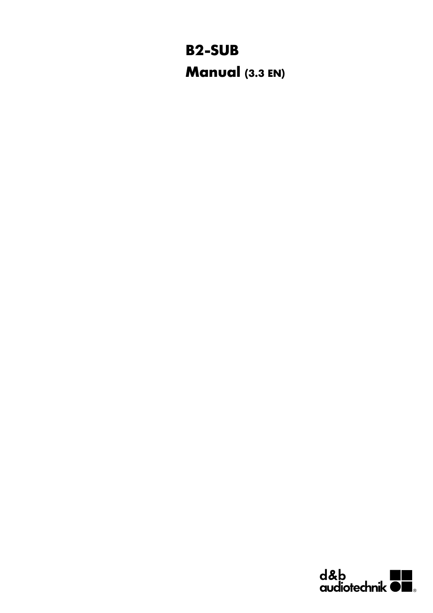# **B2-SUB Manual (3.3 EN)**

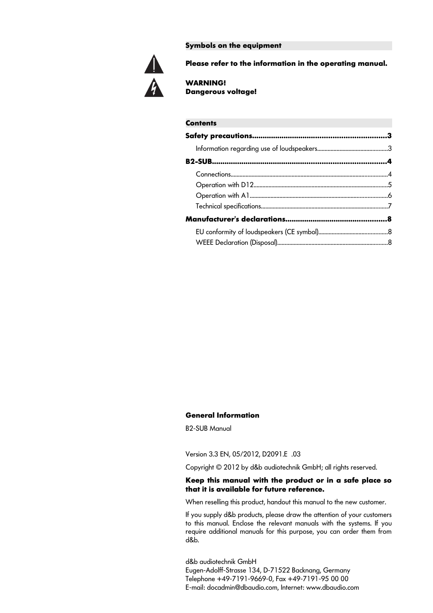**Symbols on the equipment**



**Please refer to the information in the operating manual.**

**WARNING! Dangerous voltage!**

#### **Contents**

#### **General Information**

B2-SUB Manual

Version 3.3 EN, 05/2012, D2091.E .03

Copyright © 2012 by d&b audiotechnik GmbH; all rights reserved.

#### **Keep this manual with the product or in a safe place so that it is available for future reference.**

When reselling this product, handout this manual to the new customer.

If you supply d&b products, please draw the attention of your customers to this manual. Enclose the relevant manuals with the systems. If you require additional manuals for this purpose, you can order them from d&b.

d&b audiotechnik GmbH Eugen-Adolff-Strasse 134, D-71522 Backnang, Germany Telephone +49-7191-9669-0, Fax +49-7191-95 00 00 E-mail: docadmin@dbaudio.com, Internet: www.dbaudio.com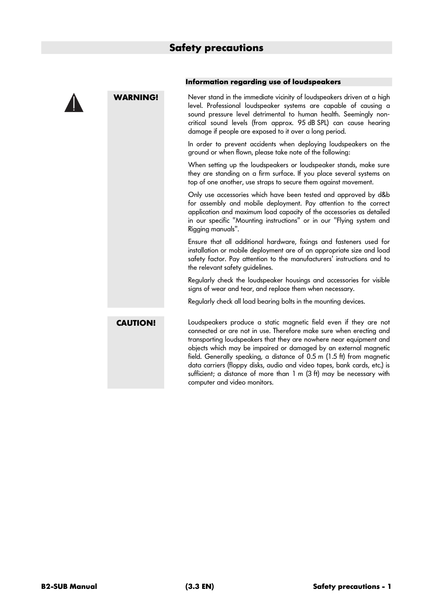

#### **Information regarding use of loudspeakers**

**WARNING!** Never stand in the immediate vicinity of loudspeakers driven at a high level. Professional loudspeaker systems are capable of causing a sound pressure level detrimental to human health. Seemingly noncritical sound levels (from approx. 95 dB SPL) can cause hearing damage if people are exposed to it over a long period.

> In order to prevent accidents when deploying loudspeakers on the ground or when flown, please take note of the following:

> When setting up the loudspeakers or loudspeaker stands, make sure they are standing on a firm surface. If you place several systems on top of one another, use straps to secure them against movement.

> Only use accessories which have been tested and approved by d&b for assembly and mobile deployment. Pay attention to the correct application and maximum load capacity of the accessories as detailed in our specific "Mounting instructions" or in our "Flying system and Rigging manuals".

> Ensure that all additional hardware, fixings and fasteners used for installation or mobile deployment are of an appropriate size and load safety factor. Pay attention to the manufacturers' instructions and to the relevant safety guidelines.

> Regularly check the loudspeaker housings and accessories for visible signs of wear and tear, and replace them when necessary.

Regularly check all load bearing bolts in the mounting devices.

**CAUTION!** Loudspeakers produce a static magnetic field even if they are not connected or are not in use. Therefore make sure when erecting and transporting loudspeakers that they are nowhere near equipment and objects which may be impaired or damaged by an external magnetic field. Generally speaking, a distance of 0.5 m (1.5 ft) from magnetic data carriers (floppy disks, audio and video tapes, bank cards, etc.) is sufficient; a distance of more than 1 m (3 ft) may be necessary with computer and video monitors.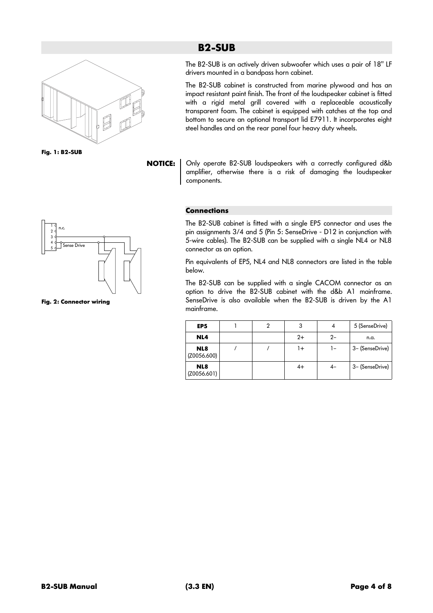

**Fig. 1: B2-SUB**



**Fig. 2: Connector wiring**

# **B2-SUB**

The B2-SUB is an actively driven subwoofer which uses a pair of 18" LF drivers mounted in a bandpass horn cabinet.

The B2-SUB cabinet is constructed from marine plywood and has an impact resistant paint finish. The front of the loudspeaker cabinet is fitted with a rigid metal grill covered with a replaceable acoustically transparent foam. The cabinet is equipped with catches at the top and bottom to secure an optional transport lid E7911. It incorporates eight steel handles and on the rear panel four heavy duty wheels.

**NOTICE:** Only operate B2-SUB loudspeakers with a correctly configured d&b amplifier, otherwise there is a risk of damaging the loudspeaker components.

#### **Connections**

The B2-SUB cabinet is fitted with a single EP5 connector and uses the pin assignments 3/4 and 5 (Pin 5: SenseDrive - D12 in conjunction with 5-wire cables). The B2-SUB can be supplied with a single NL4 or NL8 connector as an option.

Pin equivalents of EP5, NL4 and NL8 connectors are listed in the table below.

The B2-SUB can be supplied with a single CACOM connector as an option to drive the B2-SUB cabinet with the d&b A1 mainframe. SenseDrive is also available when the B2-SUB is driven by the A1 mainframe.

| EP <sub>5</sub>                |  | 3    | 4     | 5 (SenseDrive)  |
|--------------------------------|--|------|-------|-----------------|
| NL4                            |  | $2+$ | $2-$  | n.a.            |
| NL <sub>8</sub><br>(Z0056.600) |  | $1+$ | $1 -$ | 3- (SenseDrive) |
| NL <sub>8</sub><br>(Z0056.601) |  | 4+   | $4-$  | 3- (SenseDrive) |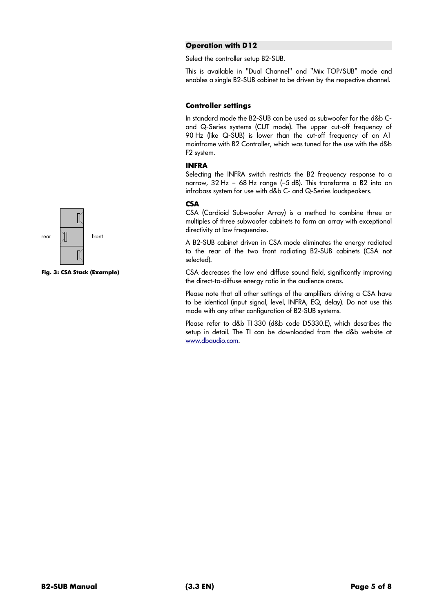

**Fig. 3: CSA Stack (Example)**

#### **Operation with D12**

Select the controller setup B2-SUB.

This is available in "Dual Channel" and "Mix TOP/SUB" mode and enables a single B2-SUB cabinet to be driven by the respective channel.

#### **Controller settings**

In standard mode the B2-SUB can be used as subwoofer for the d&b Cand Q-Series systems (CUT mode). The upper cut-off frequency of 90 Hz (like Q-SUB) is lower than the cut-off frequency of an A1 mainframe with B2 Controller, which was tuned for the use with the d&b F2 system.

#### **INFRA**

Selecting the INFRA switch restricts the B2 frequency response to a narrow, 32 Hz – 68 Hz range (–5 dB). This transforms a B2 into an infrabass system for use with d&b C- and Q-Series loudspeakers.

#### **CSA**

CSA (Cardioid Subwoofer Array) is a method to combine three or multiples of three subwoofer cabinets to form an array with exceptional directivity at low frequencies.

A B2-SUB cabinet driven in CSA mode eliminates the energy radiated to the rear of the two front radiating B2-SUB cabinets (CSA not selected).

CSA decreases the low end diffuse sound field, significantly improving the direct-to-diffuse energy ratio in the audience areas.

Please note that all other settings of the amplifiers driving a CSA have to be identical (input signal, level, INFRA, EQ, delay). Do not use this mode with any other configuration of B2-SUB systems.

Please refer to d&b TI 330 (d&b code D5330.E), which describes the setup in detail. The TI can be downloaded from the d&b website at [www.dbaudio.com.](http://www.dbaudio.com/)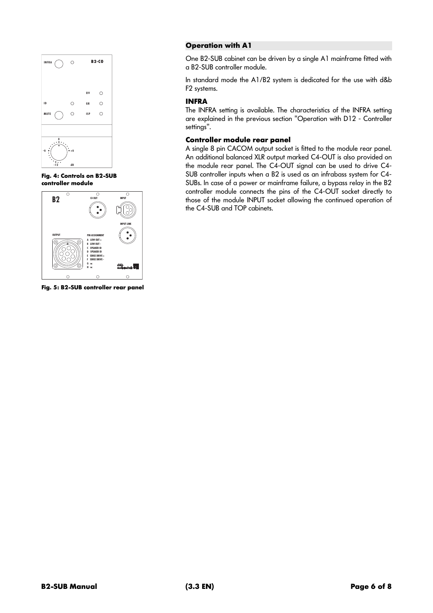

**Fig. 4: Controls on B2-SUB controller module**



**Fig. 5: B2-SUB controller rear panel**

#### **Operation with A1**

One B2-SUB cabinet can be driven by a single A1 mainframe fitted with a B2-SUB controller module.

In standard mode the A1/B2 system is dedicated for the use with d&b F2 systems.

#### **INFRA**

The INFRA setting is available. The characteristics of the INFRA setting are explained in the previous section "Operation with D12 - Controller settings".

#### **Controller module rear panel**

A single 8 pin CACOM output socket is fitted to the module rear panel. An additional balanced XLR output marked C4-OUT is also provided on the module rear panel. The C4-OUT signal can be used to drive C4- SUB controller inputs when a B2 is used as an infrabass system for C4- SUBs. In case of a power or mainframe failure, a bypass relay in the B2 controller module connects the pins of the C4-OUT socket directly to those of the module INPUT socket allowing the continued operation of the C4-SUB and TOP cabinets.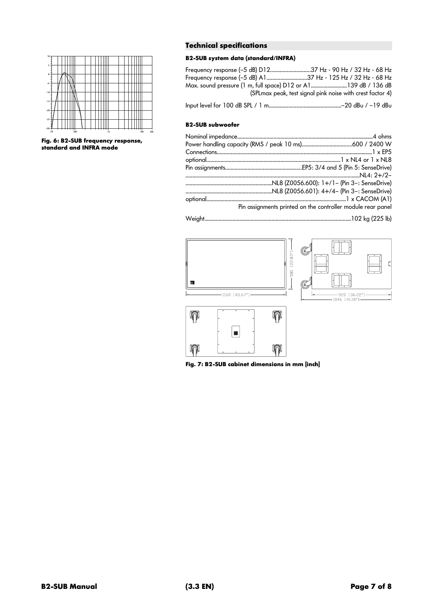

**Fig. 6: B2-SUB frequency response, standard and INFRA mode**

### **Technical specifications**

#### **B2-SUB system data (standard/INFRA)**

| Frequency response (-5 dB) D1237 Hz - 90 Hz / 32 Hz - 68 Hz    |                                                           |
|----------------------------------------------------------------|-----------------------------------------------------------|
| Frequency response (-5 dB) A137 Hz - 125 Hz / 32 Hz - 68 Hz    |                                                           |
| Max. sound pressure (1 m, full space) D12 or A1139 dB / 136 dB |                                                           |
|                                                                | (SPLmax peak, test signal pink noise with crest factor 4) |
|                                                                |                                                           |

#### **B2-SUB subwoofer**

| Pin assignments printed on the controller module rear panel |
|-------------------------------------------------------------|
|                                                             |



**Fig. 7: B2-SUB cabinet dimensions in mm [inch]**